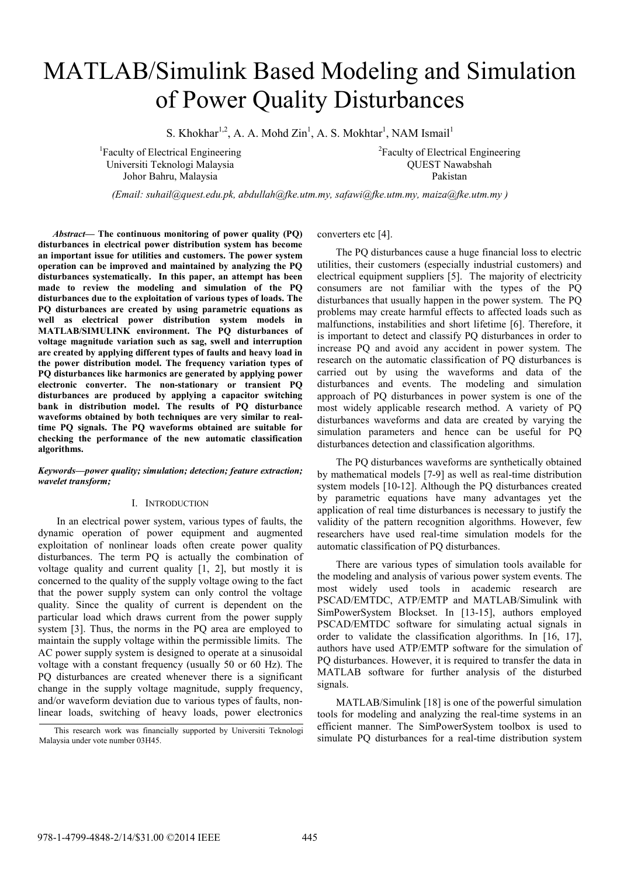# MATLAB/Simulink Based Modeling and Simulation of Power Quality Disturbances

S. Khokhar<sup>1,2</sup>, A. A. Mohd Zin<sup>1</sup>, A. S. Mokhtar<sup>1</sup>, NAM Ismail<sup>1</sup>

1 Faculty of Electrical Engineering Universiti Teknologi Malaysia Johor Bahru, Malaysia

2 Faculty of Electrical Engineering QUEST Nawabshah Pakistan

*(Email: suhail@quest.edu.pk, abdullah@fke.utm.my, safawi@fke.utm.my, maiza@fke.utm.my )* 

*Abstract***— The continuous monitoring of power quality (PQ) disturbances in electrical power distribution system has become an important issue for utilities and customers. The power system operation can be improved and maintained by analyzing the PQ disturbances systematically. In this paper, an attempt has been made to review the modeling and simulation of the PQ disturbances due to the exploitation of various types of loads. The PQ disturbances are created by using parametric equations as well as electrical power distribution system models in MATLAB/SIMULINK environment. The PQ disturbances of voltage magnitude variation such as sag, swell and interruption are created by applying different types of faults and heavy load in the power distribution model. The frequency variation types of PQ disturbances like harmonics are generated by applying power electronic converter. The non-stationary or transient PQ disturbances are produced by applying a capacitor switching bank in distribution model. The results of PQ disturbance waveforms obtained by both techniques are very similar to realtime PQ signals. The PQ waveforms obtained are suitable for checking the performance of the new automatic classification algorithms.** 

### *Keywords—power quality; simulation; detection; feature extraction; wavelet transform;*

#### I. INTRODUCTION

In an electrical power system, various types of faults, the dynamic operation of power equipment and augmented exploitation of nonlinear loads often create power quality disturbances. The term PQ is actually the combination of voltage quality and current quality [1, 2], but mostly it is concerned to the quality of the supply voltage owing to the fact that the power supply system can only control the voltage quality. Since the quality of current is dependent on the particular load which draws current from the power supply system [3]. Thus, the norms in the PQ area are employed to maintain the supply voltage within the permissible limits. The AC power supply system is designed to operate at a sinusoidal voltage with a constant frequency (usually 50 or 60 Hz). The PQ disturbances are created whenever there is a significant change in the supply voltage magnitude, supply frequency, and/or waveform deviation due to various types of faults, nonlinear loads, switching of heavy loads, power electronics

converters etc [4].

The PQ disturbances cause a huge financial loss to electric utilities, their customers (especially industrial customers) and electrical equipment suppliers [5]. The majority of electricity consumers are not familiar with the types of the PQ disturbances that usually happen in the power system. The PQ problems may create harmful effects to affected loads such as malfunctions, instabilities and short lifetime [6]. Therefore, it is important to detect and classify PQ disturbances in order to increase PQ and avoid any accident in power system. The research on the automatic classification of PQ disturbances is carried out by using the waveforms and data of the disturbances and events. The modeling and simulation approach of PQ disturbances in power system is one of the most widely applicable research method. A variety of PQ disturbances waveforms and data are created by varying the simulation parameters and hence can be useful for PQ disturbances detection and classification algorithms.

The PQ disturbances waveforms are synthetically obtained by mathematical models [7-9] as well as real-time distribution system models [10-12]. Although the PQ disturbances created by parametric equations have many advantages yet the application of real time disturbances is necessary to justify the validity of the pattern recognition algorithms. However, few researchers have used real-time simulation models for the automatic classification of PQ disturbances.

There are various types of simulation tools available for the modeling and analysis of various power system events. The most widely used tools in academic research are PSCAD/EMTDC, ATP/EMTP and MATLAB/Simulink with SimPowerSystem Blockset. In [13-15], authors employed PSCAD/EMTDC software for simulating actual signals in order to validate the classification algorithms. In [16, 17], authors have used ATP/EMTP software for the simulation of PQ disturbances. However, it is required to transfer the data in MATLAB software for further analysis of the disturbed signals.

MATLAB/Simulink [18] is one of the powerful simulation tools for modeling and analyzing the real-time systems in an efficient manner. The SimPowerSystem toolbox is used to This research work was financially supported by Universiti Teknologi efficient manner. The SimPowerSystem toolbox is used to simulate PQ disturbances for a real-time distribution system

Malaysia under vote number 03H45.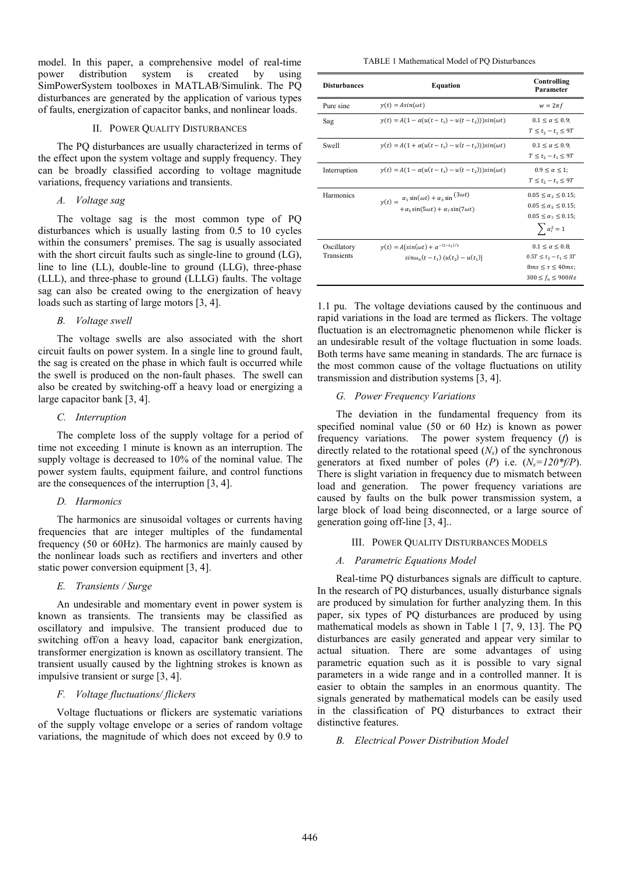model. In this paper, a comprehensive model of real-time power distribution system is created by using SimPowerSystem toolboxes in MATLAB/Simulink. The PQ disturbances are generated by the application of various types of faults, energization of capacitor banks, and nonlinear loads.

## II. POWER QUALITY DISTURBANCES

The PQ disturbances are usually characterized in terms of the effect upon the system voltage and supply frequency. They can be broadly classified according to voltage magnitude variations, frequency variations and transients.

# *A. Voltage sag*

The voltage sag is the most common type of PQ disturbances which is usually lasting from 0.5 to 10 cycles within the consumers' premises. The sag is usually associated with the short circuit faults such as single-line to ground (LG), line to line (LL), double-line to ground (LLG), three-phase (LLL), and three-phase to ground (LLLG) faults. The voltage sag can also be created owing to the energization of heavy loads such as starting of large motors [3, 4].

### *B. Voltage swell*

The voltage swells are also associated with the short circuit faults on power system. In a single line to ground fault, the sag is created on the phase in which fault is occurred while the swell is produced on the non-fault phases. The swell can also be created by switching-off a heavy load or energizing a large capacitor bank [3, 4].

# *C. Interruption*

The complete loss of the supply voltage for a period of time not exceeding 1 minute is known as an interruption. The supply voltage is decreased to 10% of the nominal value. The power system faults, equipment failure, and control functions are the consequences of the interruption [3, 4].

# *D. Harmonics*

The harmonics are sinusoidal voltages or currents having frequencies that are integer multiples of the fundamental frequency (50 or 60Hz). The harmonics are mainly caused by the nonlinear loads such as rectifiers and inverters and other static power conversion equipment [3, 4].

# *E. Transients / Surge*

An undesirable and momentary event in power system is known as transients. The transients may be classified as oscillatory and impulsive. The transient produced due to switching off/on a heavy load, capacitor bank energization, transformer energization is known as oscillatory transient. The transient usually caused by the lightning strokes is known as impulsive transient or surge [3, 4].

# *F. Voltage fluctuations/ flickers*

Voltage fluctuations or flickers are systematic variations of the supply voltage envelope or a series of random voltage variations, the magnitude of which does not exceed by 0.9 to

TABLE 1 Mathematical Model of PQ Disturbances

| <b>Disturbances</b>       | <b>Equation</b>                                                                                                                        | Controlling<br>Parameter                                                                                                      |
|---------------------------|----------------------------------------------------------------------------------------------------------------------------------------|-------------------------------------------------------------------------------------------------------------------------------|
| Pure sine                 | $y(t) = Asin(\omega t)$                                                                                                                | $w = 2\pi f$                                                                                                                  |
| Sag                       | $y(t) = A(1 - \alpha(u(t - t_1) - u(t - t_2)))sin(\omega t)$                                                                           | $0.1 \leq \alpha \leq 0.9$ ;<br>$T < t_0 - t_1 < 9T$                                                                          |
| Swell                     | $y(t) = A(1 + \alpha(u(t - t_1) - u(t - t_2)))\sin(\omega t)$                                                                          | $0.1 < \alpha < 0.9$<br>$T \le t_2 - t_1 \le 9T$                                                                              |
| Interruption              | $y(t) = A(1 - \alpha(u(t - t_1) - u(t - t_2)))\sin(\omega t)$                                                                          | $0.9 < \alpha < 1$<br>$T < t_0 - t_1 < 9T$                                                                                    |
| Harmonics                 | $y(t) = \alpha_1 \sin(\omega t) + \alpha_3 \sin^{(3\omega t)}$<br>$+\alpha_{\epsilon} \sin(5\omega t) + \alpha_{\tau} \sin(7\omega t)$ | $0.05 \le \alpha_3 \le 0.15$ ;<br>$0.05 \le \alpha_{5} \le 0.15$ ;<br>$0.05 \le \alpha_7 \le 0.15$ ;<br>$\sum \alpha_i^2 = 1$ |
| Oscillatory<br>Transients | $y(t) = A[\sin(\omega t) + \alpha^{-(t-t_1)/\tau}]$<br>$sin\omega_n(t - t_1)$ $(u(t_2) - u(t_1))$                                      | $0.1 < \alpha < 0.8$<br>$0.5T \le t_2 - t_1 \le 3T$<br>$8ms \leq \tau \leq 40ms$<br>$300 \le f_n \le 900 Hz$                  |

1.1 pu. The voltage deviations caused by the continuous and rapid variations in the load are termed as flickers. The voltage fluctuation is an electromagnetic phenomenon while flicker is an undesirable result of the voltage fluctuation in some loads. Both terms have same meaning in standards. The arc furnace is the most common cause of the voltage fluctuations on utility transmission and distribution systems [3, 4].

## *G. Power Frequency Variations*

The deviation in the fundamental frequency from its specified nominal value (50 or 60 Hz) is known as power frequency variations. The power system frequency (*f*) is directly related to the rotational speed  $(N<sub>s</sub>)$  of the synchronous generators at fixed number of poles  $(P)$  i.e.  $(N_s=120*(P))$ . There is slight variation in frequency due to mismatch between load and generation. The power frequency variations are caused by faults on the bulk power transmission system, a large block of load being disconnected, or a large source of generation going off-line [3, 4]..

#### III. POWER QUALITY DISTURBANCES MODELS

# *A. Parametric Equations Model*

Real-time PQ disturbances signals are difficult to capture. In the research of PQ disturbances, usually disturbance signals are produced by simulation for further analyzing them. In this paper, six types of PQ disturbances are produced by using mathematical models as shown in Table 1 [7, 9, 13]. The PQ disturbances are easily generated and appear very similar to actual situation. There are some advantages of using parametric equation such as it is possible to vary signal parameters in a wide range and in a controlled manner. It is easier to obtain the samples in an enormous quantity. The signals generated by mathematical models can be easily used in the classification of PQ disturbances to extract their distinctive features.

# *B. Electrical Power Distribution Model*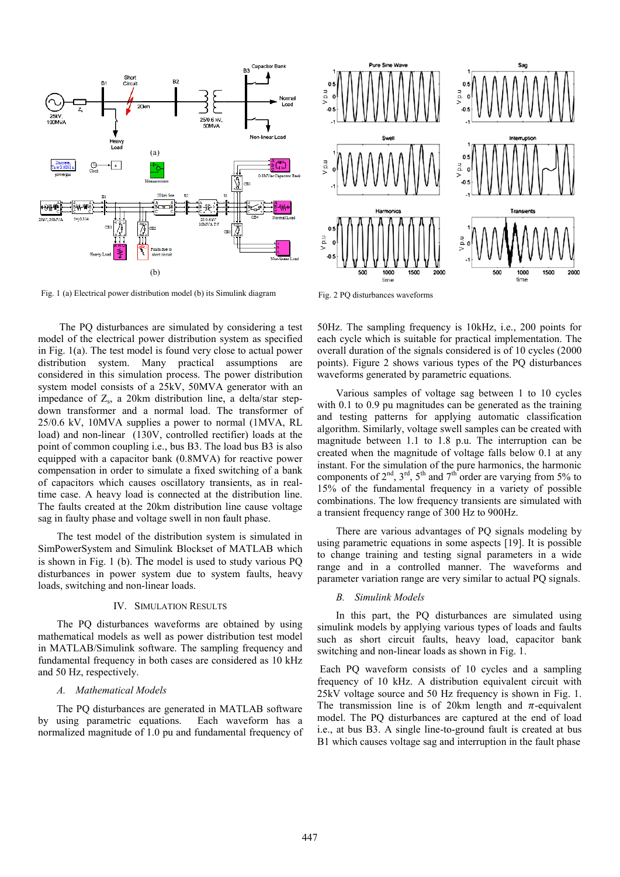

Fig. 1 (a) Electrical power distribution model (b) its Simulink diagram

 The PQ disturbances are simulated by considering a test model of the electrical power distribution s ystem as specified in Fig.  $1(a)$ . The test model is found very close to actual power distribution system. Many practical assumptions are considered in this simulation process. The power distribution system model consists of a 25kV, 50MVA generator with an impedance of  $Z_s$ , a 20km distribution line, a delta/star stepdown transformer and a normal load. Th he transformer of 25/0.6 kV, 10MVA supplies a power to normal (1MVA, RL load) and non-linear (130V, controlled rectifier) loads at the point of common coupling i.e., bus B3. The load bus B3 is also equipped with a capacitor bank (0.8MVA) for reactive power compensation in order to simulate a fixed switching of a bank of capacitors which causes oscillatory transients, as in realtime case. A heavy load is connected at th e distribution line. The faults created at the 20km distribution line cause voltage sag in faulty phase and voltage swell in non f fault phase.

The test model of the distribution system is simulated in SimPowerSystem and Simulink Blockset of f MATLAB which is shown in Fig. 1 (b). The model is used to study various PQ disturbances in power system due to system faults, heavy loads, switching and non-linear loads.

#### IV. SIMULATION RESULTS

IV. SIMULATION RESULTS<br>The PQ disturbances waveforms are obtained by using mathematical models as well as power distribution test model in MATLAB/Simulink software. The sampling frequency and fundamental frequency in both cases are considered as 10 kHz and 50 Hz, respectively.

#### *A. Mathematical Models*

The PQ disturbances are generated in M MATLAB software by using parametric equations. normalized magnitude of 1.0 pu and fundamental frequency of waveform has a



Fig. 2 PQ disturbances waveforms

50Hz. The sampling frequency is 10kHz, i.e., 200 points for each cycle which is suitable fo r practical implementation. The overall duration of the signals considered is of 10 cycles (2000 points). Figure 2 shows various types of the PQ disturbances waveforms generated by parametric equations.

Various samples of voltag ge sag between 1 to 10 cycles with 0.1 to 0.9 pu magnitudes can be generated as the training and testing patterns for applying automatic classification algorithm. Similarly, voltage swell samples can be created with magnitude between 1.1 to 1.8 8 p.u. The interruption can be created when the magnitude of voltage falls below 0.1 at any instant. For the simulation of the pure harmonics, the harmonic components of  $2<sup>nd</sup>$ ,  $3<sup>rd</sup>$ ,  $5<sup>th</sup>$  and  $7<sup>th</sup>$  order are varying from 5% to 15% of the fundamental frequency in a variety of possible combinations. The low frequency transients are simulated with a transient frequency range of 3 300 Hz to 900Hz.

There are various advanta ges of PQ signals modeling by using parametric equations in s some aspects [19]. It is possible to change training and testing signal parameters in a wide range and in a controlled manner. The waveforms and parameter variation range are very similar to actual PQ signals.

# *B. Simulink Models*

In this part, the PQ disturbances are simulated using simulink models by applying various types of loads and faults such as short circuit faults, heavy load, capacitor bank switching and non-linear loads as shown in Fig. 1.

 Each PQ waveform consists of 10 cycles and a sampling frequency of 10 kHz. A distribution equivalent circuit with 25kV voltage source and 50 H Hz frequency is shown in Fig. 1. The transmission line is of 20km length and  $\pi$ -equivalent model. The PQ disturbances are captured at the end of load i.e., at bus B3. A single line-to-ground fault is created at bus B1 which causes voltage sag and interruption in the fault phase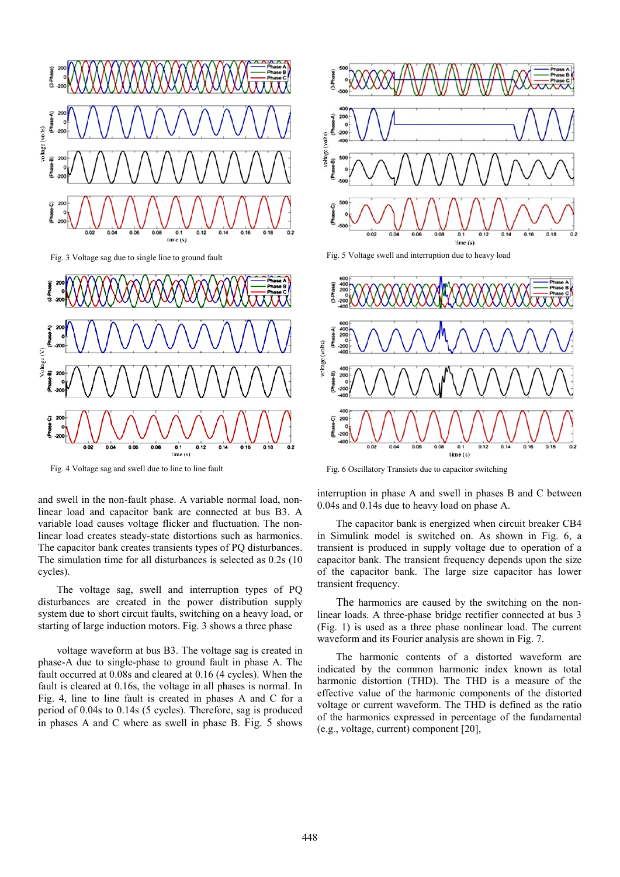

Fig. 4 Voltage sag and swell due to line to line fault

cycles). The voltage sag, swell and interruption types of PQ disturbances are created in the power d distribution supply system due to short circuit faults, switching on a heavy load, or starting of large induction motors. Fig. 3 sho ws a three phase

and swell in the non-fault phase. A variable normal load, nonlinear load and capacitor bank are connected at bus B3. A variable load causes voltage flicker and fluctuation. The nonlinear load creates steady-state distortions s such as harmonics. The capacitor bank creates transients types of PQ disturbances. The simulation time for all disturbances is s elected as 0.2s (10

voltage waveform at bus B3. The voltage sag is created in phase-A due to single-phase to ground fault in phase A. The fault occurred at 0.08s and cleared at 0.16 (4 4 cycles). When the fault is cleared at 0.16s, the voltage in all ph hases is normal. In Fig. 4, line to line fault is created in phases A and C for a period of 0.04s to 0.14s (5 cycles). Therefore, sag is produced in phases A and C where as swell in phase B. Fig. 5 shows







Fig. 6 Oscillatory Transiets due to capacitor switching

interruption in phase A and swell in phases B and C between 0.04s and 0.14s due to heavy load on phase A.

The capacitor bank is energized when circuit breaker CB4 in Simulink model is switched on. As shown in Fig. 6, a transient is produced in supply y voltage due to operation of a capacitor bank. The transient frequency depends upon the size of the capacitor bank. The l large size capacitor has lower transient frequency.

The harmonics are caused by the switching on the nonlinear loads. A three-phase bridge rectifier connected at bus 3 (Fig. 1) is used as a three phase nonlinear load. The current waveform and its Fourier analy sis are shown in Fig. 7.

The harmonic contents of a distorted waveform are indicated by the common harmonic index known as total harmonic distortion (THD). The THD is a measure of the effective value of the harmon ic components of the distorted voltage or current waveform. The THD is defined as the ratio of the harmonics expressed in percentage of the fundamental (e.g., voltage, current) compone ent [20],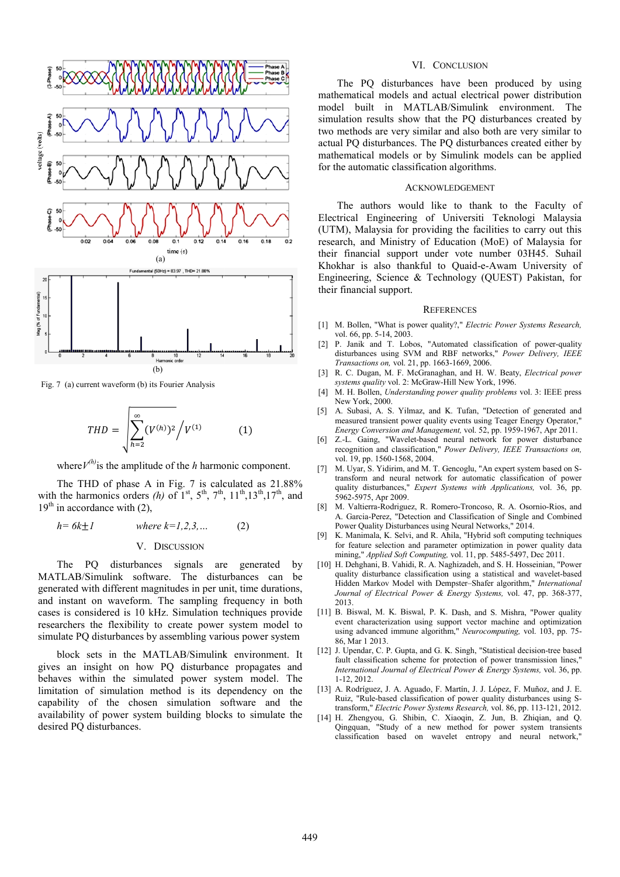

Fig. 7 (a) current waveform (b) its Fourier Analysis

$$
THD = \sqrt{\sum_{h=2}^{\infty} (V^{(h)})^2 / V^{(1)}} \tag{1}
$$

where  $V^{(h)}$  is the amplitude of the *h* harmonic component.

The THD of phase A in Fig.  $7$  is calculated as  $21.88\%$ with the harmonics orders (h) of  $1^{st}$ ,  $5^{th}$ ,  $7^{th}$ ,  $11^{th}$ ,  $13^{th}$ ,  $17^{th}$ , and  $19<sup>th</sup>$  in accordance with (2),

$$
h = 6k \pm 1
$$
 where  $k = 1, 2, 3, ...$  (2)  
V. DISCUSSION  
The, PO. distrrahence, signals, are, can

The PQ disturbances signals are generated by MATLAB/Simulink software. The disturbances can be generated with different magnitudes in per unit, time durations, and instant on waveform. The sampling frequency in both cases is considered is 10 kHz. Simulation techniques provide researchers the flexibility to create power system model to simulate PQ disturbances by assembling various power system

block sets in the MATLAB/Simulink k environment. It gives an insight on how PQ disturbanc e propagates and behaves within the simulated power system model. The limitation of simulation method is its dependency on the capability of the chosen simulation s oftware and the availability of power system building block ks to simulate the desired PQ disturbances.

#### VI. CONCLUSION

The PQ disturbances have been produced by using mathematical models and actual electrical power distribution model built in MATLAB/Simulink environment. The simulation results show that the PQ disturbances created by two methods are very similar and also both are very similar to actual PQ disturbances. The PQ Q disturbances created either by mathematical models or by Simulink models can be applied for the automatic classification algorithms.

#### ACKNOWL LEDGEMENT

The authors would like to thank to the Faculty of Electrical Engineering of U Universiti Teknologi Malaysia (UTM), Malaysia for providing the facilities to carry out this research, and Ministry of Education (MoE) of Malaysia for their financial support under vote number 03H45. Suhail Khokhar is also thankful to Quaid-e-Awam University of Engineering, Science & Technology (QUEST) Pakistan, for their financial support.

#### **REFERENCES**

- [1] M. Bollen, "What is power quality?," *Electric Power Systems Research*, vol. 66, pp. 5-14, 2003.
- [2] P. Janik and T. Lobos, "Automated classification of power-quality disturbances using SVM and RB BF networks," *Power Delivery, IEEE Transactions on,* vol. 21, pp. 1663 3-1669, 2006.
- [3] R. C. Dugan, M. F. McGranaghan, and H. W. Beaty, *Electrical power* systems quality vol. 2: McGraw-Hill New York, 1996.
- [4] M. H. Bollen, *Understanding power quality problems* vol. 3: IEEE press New York, 2000.
- [5] A. Subasi, A. S. Yilmaz, and K. Tufan, "Detection of generated and measured transient power quality events using Teager Energy Operator," *Energy Conversion and Management, vol.* 52, pp. 1959-1967, Apr 2011.
- [6] Z.-L. Gaing, "Wavelet-based n eural network for power disturbance recognition and classification," Power Delivery, IEEE Transactions on, vol. 19, pp. 1560-1568, 2004.
- [7] M. Uyar, S. Yidirim, and M. T. Gencoglu, "An expert system based on Stransform and neural network f for automatic classification of power quality disturbances," Expert Systems with Applications, vol. 36, pp. 5962-5975, Apr 2009.
- [8] M. Valtierra-Rodriguez, R. Romero-Troncoso, R. A. Osornio-Rios, and A. Garcia-Perez, "Detection and Classification of Single and Combined Power Quality Disturbances using Neural Networks," 2014.
- [9] K. Manimala, K. Selvi, and R. Ah hila, "Hybrid soft computing techniques for feature selection and parameter optimization in power quality data mining," *Applied Soft Computing,* vol. 11, pp. 5485-5497, Dec 2011.
- [10] H. Dehghani, B. Vahidi, R. A. Naghizadeh, and S. H. Hosseinian, "Power quality disturbance classification using a statistical and wavelet-based Hidden Markov Model with Dempster-Shafer algorithm," International *Journal of Electrical Power & E Energy Systems,* vol. 47, pp. 368-377, 2013.
- [11] B. Biswal, M. K. Biswal, P. K. Dash, and S. Mishra, "Power quality event characterization using support vector machine and optimization using advanced immune algorithm," *Neurocomputing*, vol. 103, pp. 75-86, Mar 1 2013.
- [12] J. Upendar, C. P. Gupta, and G. K. Singh, "Statistical decision-tree based fault classification scheme for protection of power transmission lines," *International Journal of Electrical Power & Energy Systems, vol. 36, pp.* 1-12, 2012.
- [13] A. Rodríguez, J. A. Aguado, F. Martín, J. J. López, F. Muñoz, and J. E. Ruiz, "Rule-based classification of power quality disturbances using Stransform," *Electric Power Systems Research*, vol. 86, pp. 113-121, 2012.
- [14] H. Zhengyou, G. Shibin, C. Xiaoqin, Z. Jun, B. Zhiqian, and Q. Qingquan, "Study of a new m method for power system transients classification based on wavelet entropy and neural network,"